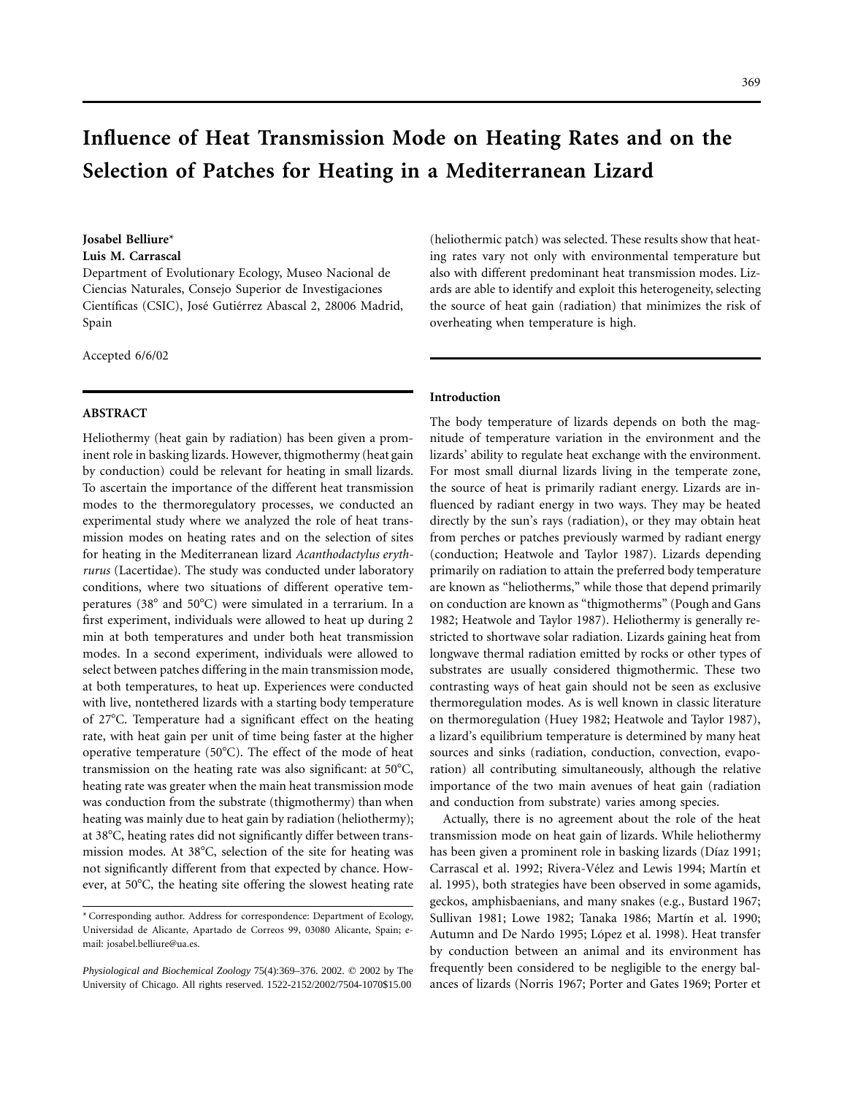# **Influence of Heat Transmission Mode on Heating Rates and on the Selection of Patches for Heating in a Mediterranean Lizard**

## **Josabel Belliure**\* **Luis M. Carrascal**

Department of Evolutionary Ecology, Museo Nacional de Ciencias Naturales, Consejo Superior de Investigaciones Científicas (CSIC), José Gutiérrez Abascal 2, 28006 Madrid, Spain

Accepted 6/6/02

# **ABSTRACT**

Heliothermy (heat gain by radiation) has been given a prominent role in basking lizards. However, thigmothermy (heat gain by conduction) could be relevant for heating in small lizards. To ascertain the importance of the different heat transmission modes to the thermoregulatory processes, we conducted an experimental study where we analyzed the role of heat transmission modes on heating rates and on the selection of sites for heating in the Mediterranean lizard *Acanthodactylus erythrurus* (Lacertidae). The study was conducted under laboratory conditions, where two situations of different operative temperatures (38 $^{\circ}$  and 50 $^{\circ}$ C) were simulated in a terrarium. In a first experiment, individuals were allowed to heat up during 2 min at both temperatures and under both heat transmission modes. In a second experiment, individuals were allowed to select between patches differing in the main transmission mode, at both temperatures, to heat up. Experiences were conducted with live, nontethered lizards with a starting body temperature of 27C. Temperature had a significant effect on the heating rate, with heat gain per unit of time being faster at the higher operative temperature  $(50^{\circ}C)$ . The effect of the mode of heat transmission on the heating rate was also significant: at  $50^{\circ}$ C, heating rate was greater when the main heat transmission mode was conduction from the substrate (thigmothermy) than when heating was mainly due to heat gain by radiation (heliothermy); at 38°C, heating rates did not significantly differ between transmission modes. At 38°C, selection of the site for heating was not significantly different from that expected by chance. However, at 50°C, the heating site offering the slowest heating rate

(heliothermic patch) was selected. These results show that heating rates vary not only with environmental temperature but also with different predominant heat transmission modes. Lizards are able to identify and exploit this heterogeneity, selecting the source of heat gain (radiation) that minimizes the risk of overheating when temperature is high.

#### **Introduction**

The body temperature of lizards depends on both the magnitude of temperature variation in the environment and the lizards' ability to regulate heat exchange with the environment. For most small diurnal lizards living in the temperate zone, the source of heat is primarily radiant energy. Lizards are influenced by radiant energy in two ways. They may be heated directly by the sun's rays (radiation), or they may obtain heat from perches or patches previously warmed by radiant energy (conduction; Heatwole and Taylor 1987). Lizards depending primarily on radiation to attain the preferred body temperature are known as "heliotherms," while those that depend primarily on conduction are known as "thigmotherms" (Pough and Gans 1982; Heatwole and Taylor 1987). Heliothermy is generally restricted to shortwave solar radiation. Lizards gaining heat from longwave thermal radiation emitted by rocks or other types of substrates are usually considered thigmothermic. These two contrasting ways of heat gain should not be seen as exclusive thermoregulation modes. As is well known in classic literature on thermoregulation (Huey 1982; Heatwole and Taylor 1987), a lizard's equilibrium temperature is determined by many heat sources and sinks (radiation, conduction, convection, evaporation) all contributing simultaneously, although the relative importance of the two main avenues of heat gain (radiation and conduction from substrate) varies among species.

Actually, there is no agreement about the role of the heat transmission mode on heat gain of lizards. While heliothermy has been given a prominent role in basking lizards (Díaz 1991; Carrascal et al. 1992; Rivera-Vélez and Lewis 1994; Martín et al. 1995), both strategies have been observed in some agamids, geckos, amphisbaenians, and many snakes (e.g., Bustard 1967; Sullivan 1981; Lowe 1982; Tanaka 1986; Martín et al. 1990; Autumn and De Nardo 1995; López et al. 1998). Heat transfer by conduction between an animal and its environment has frequently been considered to be negligible to the energy balances of lizards (Norris 1967; Porter and Gates 1969; Porter et

<sup>\*</sup> Corresponding author. Address for correspondence: Department of Ecology, Universidad de Alicante, Apartado de Correos 99, 03080 Alicante, Spain; email: josabel.belliure@ua.es.

Physiological and Biochemical Zoology 75(4):369-376. 2002. © 2002 by The University of Chicago. All rights reserved. 1522-2152/2002/7504-1070\$15.00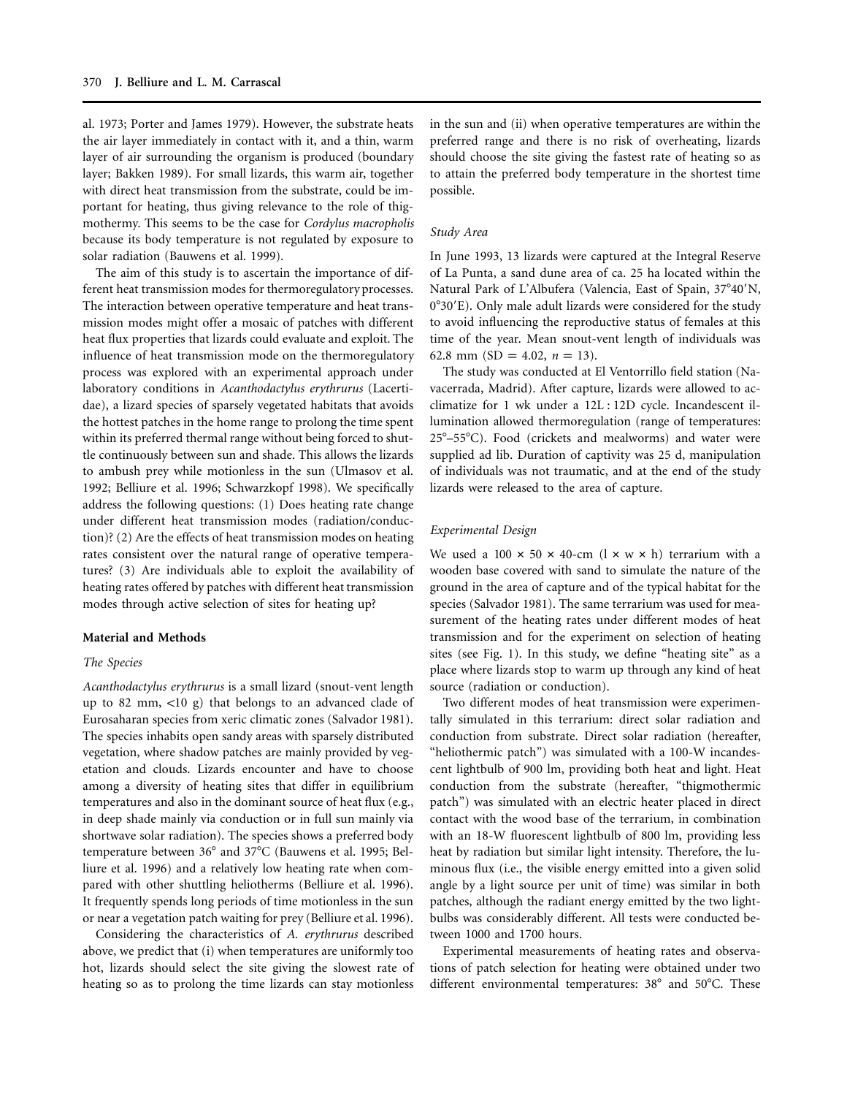al. 1973; Porter and James 1979). However, the substrate heats the air layer immediately in contact with it, and a thin, warm layer of air surrounding the organism is produced (boundary layer; Bakken 1989). For small lizards, this warm air, together with direct heat transmission from the substrate, could be important for heating, thus giving relevance to the role of thigmothermy. This seems to be the case for *Cordylus macropholis* because its body temperature is not regulated by exposure to solar radiation (Bauwens et al. 1999).

The aim of this study is to ascertain the importance of different heat transmission modes for thermoregulatory processes. The interaction between operative temperature and heat transmission modes might offer a mosaic of patches with different heat flux properties that lizards could evaluate and exploit. The influence of heat transmission mode on the thermoregulatory process was explored with an experimental approach under laboratory conditions in *Acanthodactylus erythrurus* (Lacertidae), a lizard species of sparsely vegetated habitats that avoids the hottest patches in the home range to prolong the time spent within its preferred thermal range without being forced to shuttle continuously between sun and shade. This allows the lizards to ambush prey while motionless in the sun (Ulmasov et al. 1992; Belliure et al. 1996; Schwarzkopf 1998). We specifically address the following questions: (1) Does heating rate change under different heat transmission modes (radiation/conduction)? (2) Are the effects of heat transmission modes on heating rates consistent over the natural range of operative temperatures? (3) Are individuals able to exploit the availability of heating rates offered by patches with different heat transmission modes through active selection of sites for heating up?

# **Material and Methods**

## *The Species*

*Acanthodactylus erythrurus* is a small lizard (snout-vent length up to 82 mm,  $\langle 10 \text{ g} \rangle$  that belongs to an advanced clade of Eurosaharan species from xeric climatic zones (Salvador 1981). The species inhabits open sandy areas with sparsely distributed vegetation, where shadow patches are mainly provided by vegetation and clouds. Lizards encounter and have to choose among a diversity of heating sites that differ in equilibrium temperatures and also in the dominant source of heat flux (e.g., in deep shade mainly via conduction or in full sun mainly via shortwave solar radiation). The species shows a preferred body temperature between 36° and 37°C (Bauwens et al. 1995; Belliure et al. 1996) and a relatively low heating rate when compared with other shuttling heliotherms (Belliure et al. 1996). It frequently spends long periods of time motionless in the sun or near a vegetation patch waiting for prey (Belliure et al. 1996).

Considering the characteristics of *A. erythrurus* described above, we predict that (i) when temperatures are uniformly too hot, lizards should select the site giving the slowest rate of heating so as to prolong the time lizards can stay motionless in the sun and (ii) when operative temperatures are within the preferred range and there is no risk of overheating, lizards should choose the site giving the fastest rate of heating so as to attain the preferred body temperature in the shortest time possible.

#### *Study Area*

In June 1993, 13 lizards were captured at the Integral Reserve of La Punta, a sand dune area of ca. 25 ha located within the Natural Park of L'Albufera (Valencia, East of Spain, 37°40'N,  $0°30'E$ ). Only male adult lizards were considered for the study to avoid influencing the reproductive status of females at this time of the year. Mean snout-vent length of individuals was 62.8 mm ( $SD = 4.02$ ,  $n = 13$ ).

The study was conducted at El Ventorrillo field station (Navacerrada, Madrid). After capture, lizards were allowed to acclimatize for 1 wk under a 12L : 12D cycle. Incandescent illumination allowed thermoregulation (range of temperatures:  $25^{\circ}-55^{\circ}$ C). Food (crickets and mealworms) and water were supplied ad lib. Duration of captivity was 25 d, manipulation of individuals was not traumatic, and at the end of the study lizards were released to the area of capture.

#### *Experimental Design*

We used a  $100 \times 50 \times 40$ -cm ( $l \times w \times h$ ) terrarium with a wooden base covered with sand to simulate the nature of the ground in the area of capture and of the typical habitat for the species (Salvador 1981). The same terrarium was used for measurement of the heating rates under different modes of heat transmission and for the experiment on selection of heating sites (see Fig. 1). In this study, we define "heating site" as a place where lizards stop to warm up through any kind of heat source (radiation or conduction).

Two different modes of heat transmission were experimentally simulated in this terrarium: direct solar radiation and conduction from substrate. Direct solar radiation (hereafter, "heliothermic patch") was simulated with a 100-W incandescent lightbulb of 900 lm, providing both heat and light. Heat conduction from the substrate (hereafter, "thigmothermic patch") was simulated with an electric heater placed in direct contact with the wood base of the terrarium, in combination with an 18-W fluorescent lightbulb of 800 lm, providing less heat by radiation but similar light intensity. Therefore, the luminous flux (i.e., the visible energy emitted into a given solid angle by a light source per unit of time) was similar in both patches, although the radiant energy emitted by the two lightbulbs was considerably different. All tests were conducted between 1000 and 1700 hours.

Experimental measurements of heating rates and observations of patch selection for heating were obtained under two different environmental temperatures: 38° and 50°C. These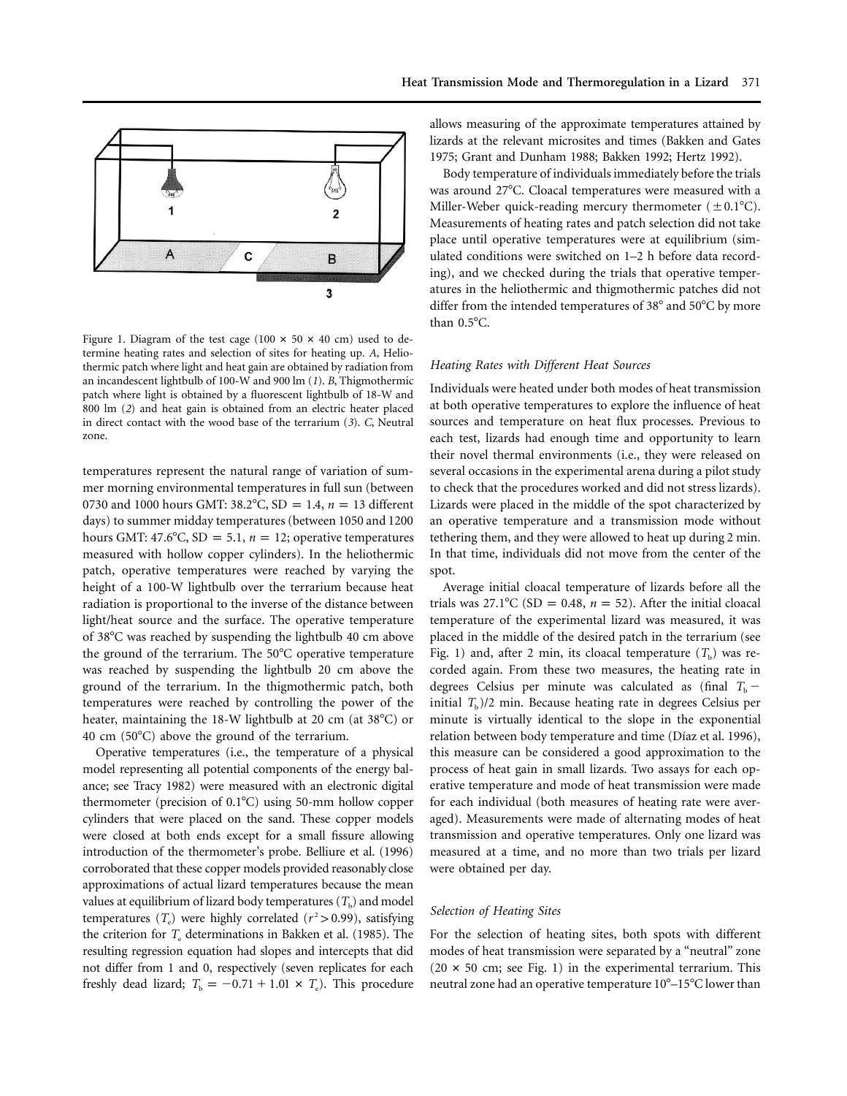

Figure 1. Diagram of the test cage (100  $\times$  50  $\times$  40 cm) used to determine heating rates and selection of sites for heating up. *A*, Heliothermic patch where light and heat gain are obtained by radiation from an incandescent lightbulb of 100-W and 900 lm (*1*). *B*, Thigmothermic patch where light is obtained by a fluorescent lightbulb of 18-W and 800 lm (*2*) and heat gain is obtained from an electric heater placed in direct contact with the wood base of the terrarium (*3*). *C*, Neutral zone.

temperatures represent the natural range of variation of summer morning environmental temperatures in full sun (between 0730 and 1000 hours GMT:  $38.2^{\circ}$ C, SD = 1.4,  $n = 13$  different days) to summer midday temperatures (between 1050 and 1200 hours GMT: 47.6°C, SD = 5.1,  $n = 12$ ; operative temperatures measured with hollow copper cylinders). In the heliothermic patch, operative temperatures were reached by varying the height of a 100-W lightbulb over the terrarium because heat radiation is proportional to the inverse of the distance between light/heat source and the surface. The operative temperature of 38°C was reached by suspending the lightbulb 40 cm above the ground of the terrarium. The  $50^{\circ}$ C operative temperature was reached by suspending the lightbulb 20 cm above the ground of the terrarium. In the thigmothermic patch, both temperatures were reached by controlling the power of the heater, maintaining the 18-W lightbulb at 20 cm (at  $38^{\circ}$ C) or 40 cm  $(50^{\circ}C)$  above the ground of the terrarium.

Operative temperatures (i.e., the temperature of a physical model representing all potential components of the energy balance; see Tracy 1982) were measured with an electronic digital thermometer (precision of  $0.1^{\circ}$ C) using 50-mm hollow copper cylinders that were placed on the sand. These copper models were closed at both ends except for a small fissure allowing introduction of the thermometer's probe. Belliure et al. (1996) corroborated that these copper models provided reasonably close approximations of actual lizard temperatures because the mean values at equilibrium of lizard body temperatures  $(T<sub>b</sub>)$  and model temperatures  $(T_e)$  were highly correlated  $(r^2 > 0.99)$ , satisfying the criterion for  $T_e$  determinations in Bakken et al. (1985). The resulting regression equation had slopes and intercepts that did not differ from 1 and 0, respectively (seven replicates for each freshly dead lizard;  $T_b = -0.71 + 1.01 \times T_e$ ). This procedure

allows measuring of the approximate temperatures attained by lizards at the relevant microsites and times (Bakken and Gates 1975; Grant and Dunham 1988; Bakken 1992; Hertz 1992).

Body temperature of individuals immediately before the trials was around 27°C. Cloacal temperatures were measured with a Miller-Weber quick-reading mercury thermometer  $(\pm 0.1^{\circ}C)$ . Measurements of heating rates and patch selection did not take place until operative temperatures were at equilibrium (simulated conditions were switched on 1–2 h before data recording), and we checked during the trials that operative temperatures in the heliothermic and thigmothermic patches did not differ from the intended temperatures of  $38^{\circ}$  and  $50^{\circ}$ C by more than  $0.5^{\circ}$ C.

#### *Heating Rates with Different Heat Sources*

Individuals were heated under both modes of heat transmission at both operative temperatures to explore the influence of heat sources and temperature on heat flux processes. Previous to each test, lizards had enough time and opportunity to learn their novel thermal environments (i.e., they were released on several occasions in the experimental arena during a pilot study to check that the procedures worked and did not stress lizards). Lizards were placed in the middle of the spot characterized by an operative temperature and a transmission mode without tethering them, and they were allowed to heat up during 2 min. In that time, individuals did not move from the center of the spot.

Average initial cloacal temperature of lizards before all the trials was 27.1°C (SD = 0.48,  $n = 52$ ). After the initial cloacal temperature of the experimental lizard was measured, it was placed in the middle of the desired patch in the terrarium (see Fig. 1) and, after 2 min, its cloacal temperature  $(T<sub>b</sub>)$  was recorded again. From these two measures, the heating rate in degrees Celsius per minute was calculated as (final  $T<sub>b</sub>$  – initial  $T<sub>b</sub>$ //2 min. Because heating rate in degrees Celsius per minute is virtually identical to the slope in the exponential relation between body temperature and time (Díaz et al. 1996), this measure can be considered a good approximation to the process of heat gain in small lizards. Two assays for each operative temperature and mode of heat transmission were made for each individual (both measures of heating rate were averaged). Measurements were made of alternating modes of heat transmission and operative temperatures. Only one lizard was measured at a time, and no more than two trials per lizard were obtained per day.

#### *Selection of Heating Sites*

For the selection of heating sites, both spots with different modes of heat transmission were separated by a "neutral" zone ( $20 \times 50$  cm; see Fig. 1) in the experimental terrarium. This neutral zone had an operative temperature  $10^{\circ}-15^{\circ}$ C lower than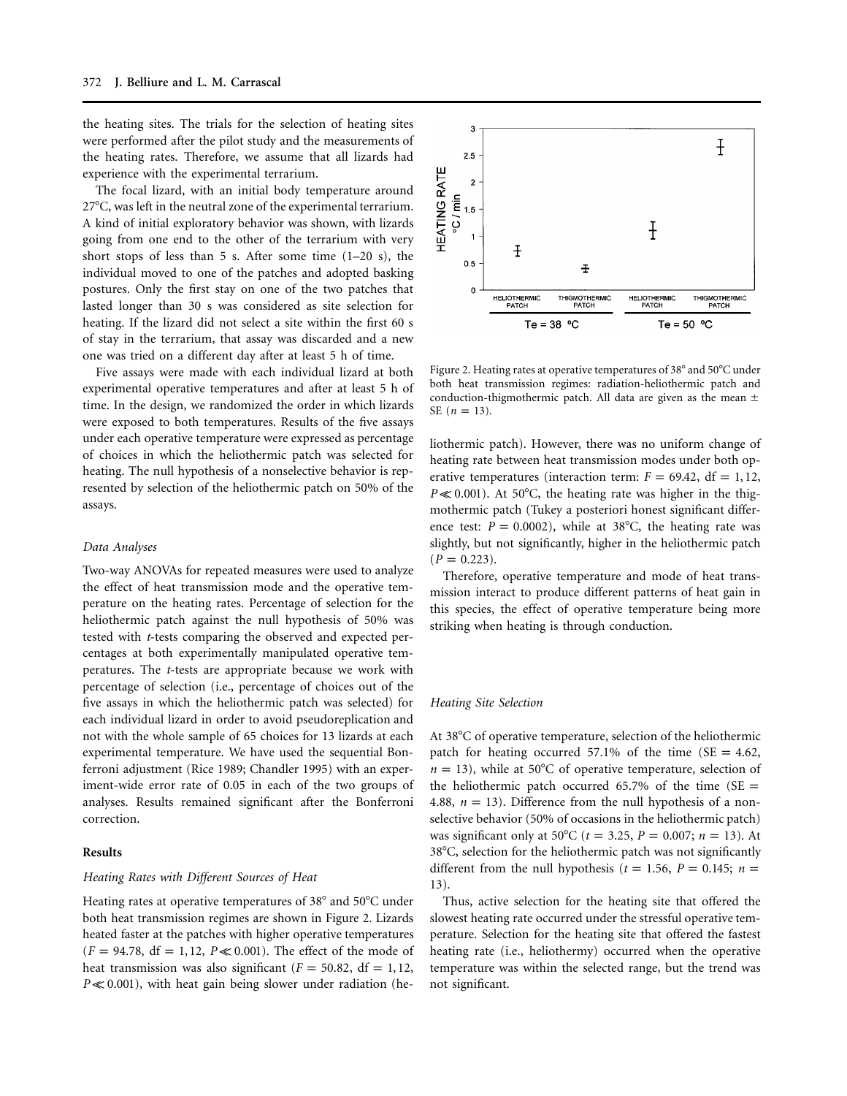the heating sites. The trials for the selection of heating sites were performed after the pilot study and the measurements of the heating rates. Therefore, we assume that all lizards had experience with the experimental terrarium.

The focal lizard, with an initial body temperature around 27°C, was left in the neutral zone of the experimental terrarium. A kind of initial exploratory behavior was shown, with lizards going from one end to the other of the terrarium with very short stops of less than 5 s. After some time (1–20 s), the individual moved to one of the patches and adopted basking postures. Only the first stay on one of the two patches that lasted longer than 30 s was considered as site selection for heating. If the lizard did not select a site within the first 60 s of stay in the terrarium, that assay was discarded and a new one was tried on a different day after at least 5 h of time.

Five assays were made with each individual lizard at both experimental operative temperatures and after at least 5 h of time. In the design, we randomized the order in which lizards were exposed to both temperatures. Results of the five assays under each operative temperature were expressed as percentage of choices in which the heliothermic patch was selected for heating. The null hypothesis of a nonselective behavior is represented by selection of the heliothermic patch on 50% of the assays.

#### *Data Analyses*

Two-way ANOVAs for repeated measures were used to analyze the effect of heat transmission mode and the operative temperature on the heating rates. Percentage of selection for the heliothermic patch against the null hypothesis of 50% was tested with *t*-tests comparing the observed and expected percentages at both experimentally manipulated operative temperatures. The *t*-tests are appropriate because we work with percentage of selection (i.e., percentage of choices out of the five assays in which the heliothermic patch was selected) for each individual lizard in order to avoid pseudoreplication and not with the whole sample of 65 choices for 13 lizards at each experimental temperature. We have used the sequential Bonferroni adjustment (Rice 1989; Chandler 1995) with an experiment-wide error rate of 0.05 in each of the two groups of analyses. Results remained significant after the Bonferroni correction.

# **Results**

#### *Heating Rates with Different Sources of Heat*

Heating rates at operative temperatures of  $38^\circ$  and  $50^\circ$ C under both heat transmission regimes are shown in Figure 2. Lizards heated faster at the patches with higher operative temperatures  $(F = 94.78, df = 1, 12, P \ll 0.001)$ . The effect of the mode of heat transmission was also significant  $(F = 50.82, df = 1, 12,$  $P \ll 0.001$ ), with heat gain being slower under radiation (he-



Figure 2. Heating rates at operative temperatures of 38° and 50°C under both heat transmission regimes: radiation-heliothermic patch and conduction-thigmothermic patch. All data are given as the mean  $\pm$ SE  $(n = 13)$ .

liothermic patch). However, there was no uniform change of heating rate between heat transmission modes under both operative temperatures (interaction term:  $F = 69.42$ , df = 1, 12,  $P \ll 0.001$ ). At 50°C, the heating rate was higher in the thigmothermic patch (Tukey a posteriori honest significant difference test:  $P = 0.0002$ ), while at 38°C, the heating rate was slightly, but not significantly, higher in the heliothermic patch  $(P = 0.223).$ 

Therefore, operative temperature and mode of heat transmission interact to produce different patterns of heat gain in this species, the effect of operative temperature being more striking when heating is through conduction.

#### *Heating Site Selection*

At 38°C of operative temperature, selection of the heliothermic patch for heating occurred 57.1% of the time ( $SE = 4.62$ ,  $n = 13$ ), while at 50°C of operative temperature, selection of the heliothermic patch occurred 65.7% of the time (SE  $=$ 4.88,  $n = 13$ ). Difference from the null hypothesis of a nonselective behavior (50% of occasions in the heliothermic patch) was significant only at 50°C ( $t = 3.25$ ,  $P = 0.007$ ;  $n = 13$ ). At 38°C, selection for the heliothermic patch was not significantly different from the null hypothesis ( $t = 1.56$ ,  $P = 0.145$ ;  $n =$ 13).

Thus, active selection for the heating site that offered the slowest heating rate occurred under the stressful operative temperature. Selection for the heating site that offered the fastest heating rate (i.e., heliothermy) occurred when the operative temperature was within the selected range, but the trend was not significant.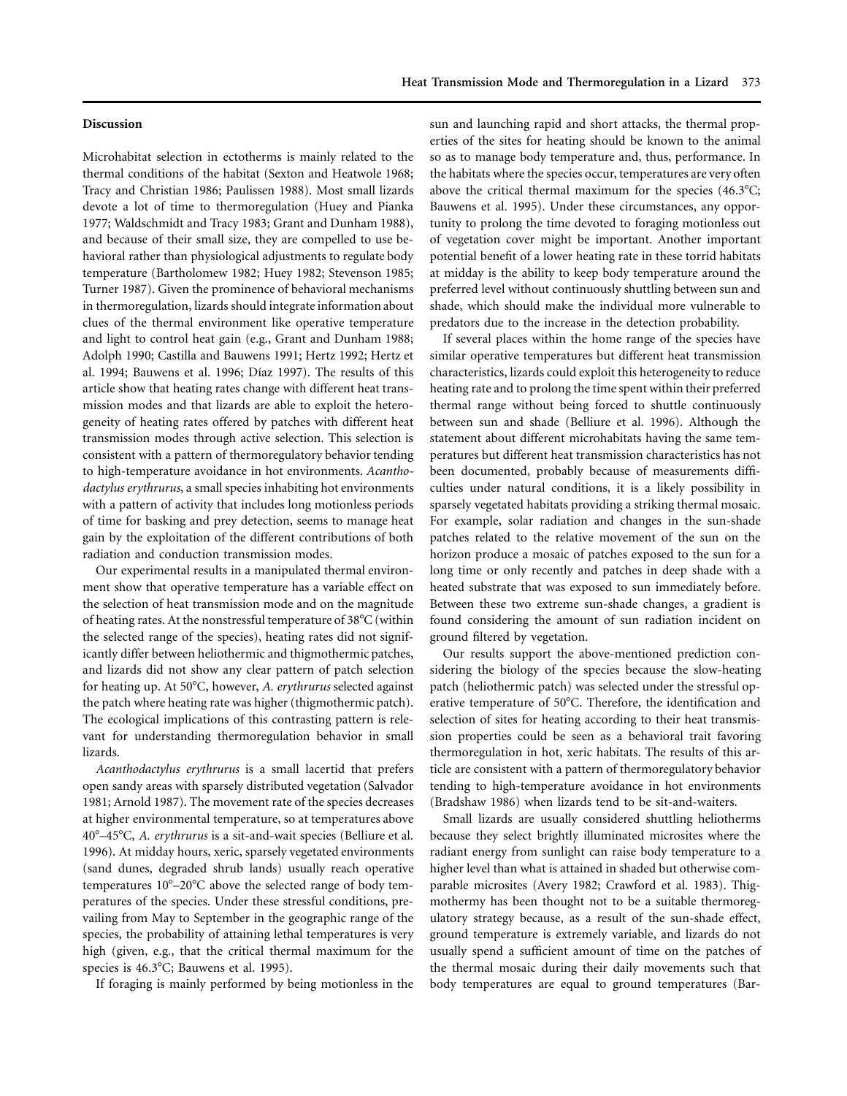#### **Discussion**

Microhabitat selection in ectotherms is mainly related to the thermal conditions of the habitat (Sexton and Heatwole 1968; Tracy and Christian 1986; Paulissen 1988). Most small lizards devote a lot of time to thermoregulation (Huey and Pianka 1977; Waldschmidt and Tracy 1983; Grant and Dunham 1988), and because of their small size, they are compelled to use behavioral rather than physiological adjustments to regulate body temperature (Bartholomew 1982; Huey 1982; Stevenson 1985; Turner 1987). Given the prominence of behavioral mechanisms in thermoregulation, lizards should integrate information about clues of the thermal environment like operative temperature and light to control heat gain (e.g., Grant and Dunham 1988; Adolph 1990; Castilla and Bauwens 1991; Hertz 1992; Hertz et al. 1994; Bauwens et al. 1996; Díaz 1997). The results of this article show that heating rates change with different heat transmission modes and that lizards are able to exploit the heterogeneity of heating rates offered by patches with different heat transmission modes through active selection. This selection is consistent with a pattern of thermoregulatory behavior tending to high-temperature avoidance in hot environments. *Acanthodactylus erythrurus*, a small species inhabiting hot environments with a pattern of activity that includes long motionless periods of time for basking and prey detection, seems to manage heat gain by the exploitation of the different contributions of both radiation and conduction transmission modes.

Our experimental results in a manipulated thermal environment show that operative temperature has a variable effect on the selection of heat transmission mode and on the magnitude of heating rates. At the nonstressful temperature of  $38^{\circ}$ C (within the selected range of the species), heating rates did not significantly differ between heliothermic and thigmothermic patches, and lizards did not show any clear pattern of patch selection for heating up. At 50°C, however, *A. erythrurus* selected against the patch where heating rate was higher (thigmothermic patch). The ecological implications of this contrasting pattern is relevant for understanding thermoregulation behavior in small lizards.

*Acanthodactylus erythrurus* is a small lacertid that prefers open sandy areas with sparsely distributed vegetation (Salvador 1981; Arnold 1987). The movement rate of the species decreases at higher environmental temperature, so at temperatures above 40–45C, *A. erythrurus* is a sit-and-wait species (Belliure et al. 1996). At midday hours, xeric, sparsely vegetated environments (sand dunes, degraded shrub lands) usually reach operative temperatures 10°-20°C above the selected range of body temperatures of the species. Under these stressful conditions, prevailing from May to September in the geographic range of the species, the probability of attaining lethal temperatures is very high (given, e.g., that the critical thermal maximum for the species is 46.3°C; Bauwens et al. 1995).

If foraging is mainly performed by being motionless in the

sun and launching rapid and short attacks, the thermal properties of the sites for heating should be known to the animal so as to manage body temperature and, thus, performance. In the habitats where the species occur, temperatures are very often above the critical thermal maximum for the species  $(46.3^{\circ}C;$ Bauwens et al. 1995). Under these circumstances, any opportunity to prolong the time devoted to foraging motionless out of vegetation cover might be important. Another important potential benefit of a lower heating rate in these torrid habitats at midday is the ability to keep body temperature around the preferred level without continuously shuttling between sun and shade, which should make the individual more vulnerable to predators due to the increase in the detection probability.

If several places within the home range of the species have similar operative temperatures but different heat transmission characteristics, lizards could exploit this heterogeneity to reduce heating rate and to prolong the time spent within their preferred thermal range without being forced to shuttle continuously between sun and shade (Belliure et al. 1996). Although the statement about different microhabitats having the same temperatures but different heat transmission characteristics has not been documented, probably because of measurements difficulties under natural conditions, it is a likely possibility in sparsely vegetated habitats providing a striking thermal mosaic. For example, solar radiation and changes in the sun-shade patches related to the relative movement of the sun on the horizon produce a mosaic of patches exposed to the sun for a long time or only recently and patches in deep shade with a heated substrate that was exposed to sun immediately before. Between these two extreme sun-shade changes, a gradient is found considering the amount of sun radiation incident on ground filtered by vegetation.

Our results support the above-mentioned prediction considering the biology of the species because the slow-heating patch (heliothermic patch) was selected under the stressful operative temperature of 50°C. Therefore, the identification and selection of sites for heating according to their heat transmission properties could be seen as a behavioral trait favoring thermoregulation in hot, xeric habitats. The results of this article are consistent with a pattern of thermoregulatory behavior tending to high-temperature avoidance in hot environments (Bradshaw 1986) when lizards tend to be sit-and-waiters.

Small lizards are usually considered shuttling heliotherms because they select brightly illuminated microsites where the radiant energy from sunlight can raise body temperature to a higher level than what is attained in shaded but otherwise comparable microsites (Avery 1982; Crawford et al. 1983). Thigmothermy has been thought not to be a suitable thermoregulatory strategy because, as a result of the sun-shade effect, ground temperature is extremely variable, and lizards do not usually spend a sufficient amount of time on the patches of the thermal mosaic during their daily movements such that body temperatures are equal to ground temperatures (Bar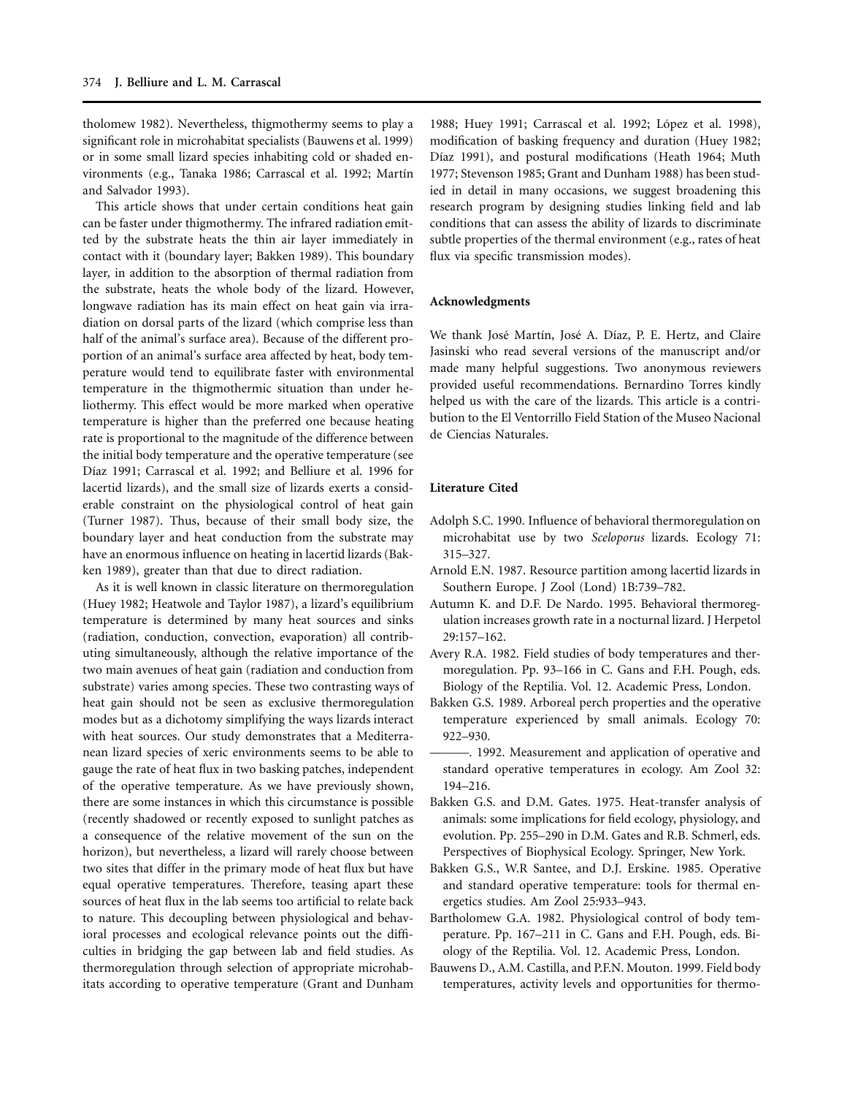tholomew 1982). Nevertheless, thigmothermy seems to play a significant role in microhabitat specialists (Bauwens et al. 1999) or in some small lizard species inhabiting cold or shaded environments (e.g., Tanaka 1986; Carrascal et al. 1992; Martín and Salvador 1993).

This article shows that under certain conditions heat gain can be faster under thigmothermy. The infrared radiation emitted by the substrate heats the thin air layer immediately in contact with it (boundary layer; Bakken 1989). This boundary layer, in addition to the absorption of thermal radiation from the substrate, heats the whole body of the lizard. However, longwave radiation has its main effect on heat gain via irradiation on dorsal parts of the lizard (which comprise less than half of the animal's surface area). Because of the different proportion of an animal's surface area affected by heat, body temperature would tend to equilibrate faster with environmental temperature in the thigmothermic situation than under heliothermy. This effect would be more marked when operative temperature is higher than the preferred one because heating rate is proportional to the magnitude of the difference between the initial body temperature and the operative temperature (see Díaz 1991; Carrascal et al. 1992; and Belliure et al. 1996 for lacertid lizards), and the small size of lizards exerts a considerable constraint on the physiological control of heat gain (Turner 1987). Thus, because of their small body size, the boundary layer and heat conduction from the substrate may have an enormous influence on heating in lacertid lizards (Bakken 1989), greater than that due to direct radiation.

As it is well known in classic literature on thermoregulation (Huey 1982; Heatwole and Taylor 1987), a lizard's equilibrium temperature is determined by many heat sources and sinks (radiation, conduction, convection, evaporation) all contributing simultaneously, although the relative importance of the two main avenues of heat gain (radiation and conduction from substrate) varies among species. These two contrasting ways of heat gain should not be seen as exclusive thermoregulation modes but as a dichotomy simplifying the ways lizards interact with heat sources. Our study demonstrates that a Mediterranean lizard species of xeric environments seems to be able to gauge the rate of heat flux in two basking patches, independent of the operative temperature. As we have previously shown, there are some instances in which this circumstance is possible (recently shadowed or recently exposed to sunlight patches as a consequence of the relative movement of the sun on the horizon), but nevertheless, a lizard will rarely choose between two sites that differ in the primary mode of heat flux but have equal operative temperatures. Therefore, teasing apart these sources of heat flux in the lab seems too artificial to relate back to nature. This decoupling between physiological and behavioral processes and ecological relevance points out the difficulties in bridging the gap between lab and field studies. As thermoregulation through selection of appropriate microhabitats according to operative temperature (Grant and Dunham

1988; Huey 1991; Carrascal et al. 1992; López et al. 1998), modification of basking frequency and duration (Huey 1982; Díaz 1991), and postural modifications (Heath 1964; Muth 1977; Stevenson 1985; Grant and Dunham 1988) has been studied in detail in many occasions, we suggest broadening this research program by designing studies linking field and lab conditions that can assess the ability of lizards to discriminate subtle properties of the thermal environment (e.g., rates of heat flux via specific transmission modes).

#### **Acknowledgments**

We thank José Martín, José A. Díaz, P. E. Hertz, and Claire Jasinski who read several versions of the manuscript and/or made many helpful suggestions. Two anonymous reviewers provided useful recommendations. Bernardino Torres kindly helped us with the care of the lizards. This article is a contribution to the El Ventorrillo Field Station of the Museo Nacional de Ciencias Naturales.

#### **Literature Cited**

- Adolph S.C. 1990. Influence of behavioral thermoregulation on microhabitat use by two *Sceloporus* lizards. Ecology 71: 315–327.
- Arnold E.N. 1987. Resource partition among lacertid lizards in Southern Europe. J Zool (Lond) 1B:739–782.
- Autumn K. and D.F. De Nardo. 1995. Behavioral thermoregulation increases growth rate in a nocturnal lizard. J Herpetol 29:157–162.
- Avery R.A. 1982. Field studies of body temperatures and thermoregulation. Pp. 93–166 in C. Gans and F.H. Pough, eds. Biology of the Reptilia. Vol. 12. Academic Press, London.
- Bakken G.S. 1989. Arboreal perch properties and the operative temperature experienced by small animals. Ecology 70: 922–930.
- ———. 1992. Measurement and application of operative and standard operative temperatures in ecology. Am Zool 32: 194–216.
- Bakken G.S. and D.M. Gates. 1975. Heat-transfer analysis of animals: some implications for field ecology, physiology, and evolution. Pp. 255–290 in D.M. Gates and R.B. Schmerl, eds. Perspectives of Biophysical Ecology. Springer, New York.
- Bakken G.S., W.R Santee, and D.J. Erskine. 1985. Operative and standard operative temperature: tools for thermal energetics studies. Am Zool 25:933–943.
- Bartholomew G.A. 1982. Physiological control of body temperature. Pp. 167–211 in C. Gans and F.H. Pough, eds. Biology of the Reptilia. Vol. 12. Academic Press, London.
- Bauwens D., A.M. Castilla, and P.F.N. Mouton. 1999. Field body temperatures, activity levels and opportunities for thermo-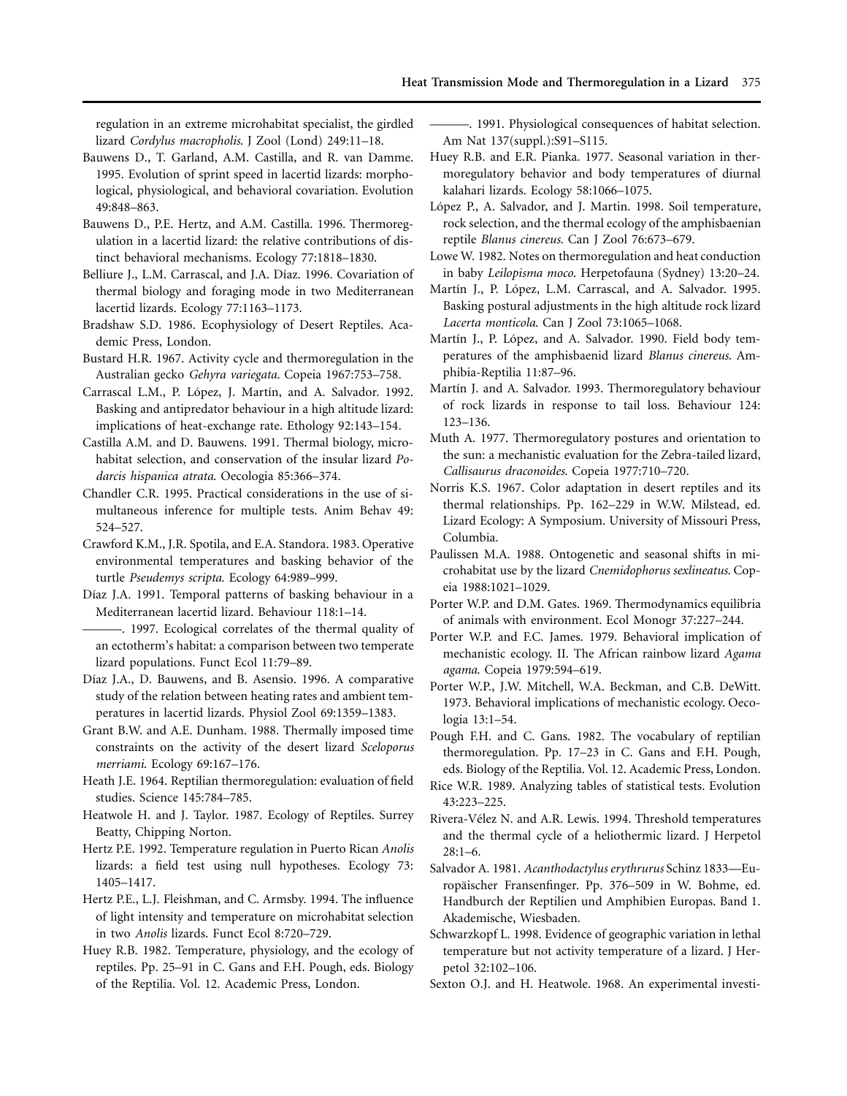regulation in an extreme microhabitat specialist, the girdled lizard *Cordylus macropholis*. J Zool (Lond) 249:11–18.

- Bauwens D., T. Garland, A.M. Castilla, and R. van Damme. 1995. Evolution of sprint speed in lacertid lizards: morphological, physiological, and behavioral covariation. Evolution 49:848–863.
- Bauwens D., P.E. Hertz, and A.M. Castilla. 1996. Thermoregulation in a lacertid lizard: the relative contributions of distinct behavioral mechanisms. Ecology 77:1818–1830.
- Belliure J., L.M. Carrascal, and J.A. Díaz. 1996. Covariation of thermal biology and foraging mode in two Mediterranean lacertid lizards. Ecology 77:1163–1173.
- Bradshaw S.D. 1986. Ecophysiology of Desert Reptiles. Academic Press, London.
- Bustard H.R. 1967. Activity cycle and thermoregulation in the Australian gecko *Gehyra variegata*. Copeia 1967:753–758.
- Carrascal L.M., P. López, J. Martín, and A. Salvador. 1992. Basking and antipredator behaviour in a high altitude lizard: implications of heat-exchange rate. Ethology 92:143–154.
- Castilla A.M. and D. Bauwens. 1991. Thermal biology, microhabitat selection, and conservation of the insular lizard *Podarcis hispanica atrata*. Oecologia 85:366–374.
- Chandler C.R. 1995. Practical considerations in the use of simultaneous inference for multiple tests. Anim Behav 49: 524–527.
- Crawford K.M., J.R. Spotila, and E.A. Standora. 1983. Operative environmental temperatures and basking behavior of the turtle *Pseudemys scripta*. Ecology 64:989–999.
- Díaz J.A. 1991. Temporal patterns of basking behaviour in a Mediterranean lacertid lizard. Behaviour 118:1–14.
- ———. 1997. Ecological correlates of the thermal quality of an ectotherm's habitat: a comparison between two temperate lizard populations. Funct Ecol 11:79–89.
- Díaz J.A., D. Bauwens, and B. Asensio. 1996. A comparative study of the relation between heating rates and ambient temperatures in lacertid lizards. Physiol Zool 69:1359–1383.
- Grant B.W. and A.E. Dunham. 1988. Thermally imposed time constraints on the activity of the desert lizard *Sceloporus merriami*. Ecology 69:167–176.
- Heath J.E. 1964. Reptilian thermoregulation: evaluation of field studies. Science 145:784–785.
- Heatwole H. and J. Taylor. 1987. Ecology of Reptiles. Surrey Beatty, Chipping Norton.
- Hertz P.E. 1992. Temperature regulation in Puerto Rican *Anolis* lizards: a field test using null hypotheses. Ecology 73: 1405–1417.
- Hertz P.E., L.J. Fleishman, and C. Armsby. 1994. The influence of light intensity and temperature on microhabitat selection in two *Anolis* lizards. Funct Ecol 8:720–729.
- Huey R.B. 1982. Temperature, physiology, and the ecology of reptiles. Pp. 25–91 in C. Gans and F.H. Pough, eds. Biology of the Reptilia. Vol. 12. Academic Press, London.

———. 1991. Physiological consequences of habitat selection. Am Nat 137(suppl.):S91–S115.

- Huey R.B. and E.R. Pianka. 1977. Seasonal variation in thermoregulatory behavior and body temperatures of diurnal kalahari lizards. Ecology 58:1066–1075.
- López P., A. Salvador, and J. Martin. 1998. Soil temperature, rock selection, and the thermal ecology of the amphisbaenian reptile *Blanus cinereus*. Can J Zool 76:673–679.
- Lowe W. 1982. Notes on thermoregulation and heat conduction in baby *Leilopisma moco*. Herpetofauna (Sydney) 13:20–24.
- Martín J., P. López, L.M. Carrascal, and A. Salvador. 1995. Basking postural adjustments in the high altitude rock lizard *Lacerta monticola*. Can J Zool 73:1065–1068.
- Martín J., P. López, and A. Salvador. 1990. Field body temperatures of the amphisbaenid lizard *Blanus cinereus*. Amphibia-Reptilia 11:87–96.
- Martín J. and A. Salvador. 1993. Thermoregulatory behaviour of rock lizards in response to tail loss. Behaviour 124: 123–136.
- Muth A. 1977. Thermoregulatory postures and orientation to the sun: a mechanistic evaluation for the Zebra-tailed lizard, *Callisaurus draconoides*. Copeia 1977:710–720.
- Norris K.S. 1967. Color adaptation in desert reptiles and its thermal relationships. Pp. 162–229 in W.W. Milstead, ed. Lizard Ecology: A Symposium. University of Missouri Press, Columbia.
- Paulissen M.A. 1988. Ontogenetic and seasonal shifts in microhabitat use by the lizard *Cnemidophorus sexlineatus*. Copeia 1988:1021–1029.
- Porter W.P. and D.M. Gates. 1969. Thermodynamics equilibria of animals with environment. Ecol Monogr 37:227–244.
- Porter W.P. and F.C. James. 1979. Behavioral implication of mechanistic ecology. II. The African rainbow lizard *Agama agama*. Copeia 1979:594–619.
- Porter W.P., J.W. Mitchell, W.A. Beckman, and C.B. DeWitt. 1973. Behavioral implications of mechanistic ecology. Oecologia 13:1–54.
- Pough F.H. and C. Gans. 1982. The vocabulary of reptilian thermoregulation. Pp. 17–23 in C. Gans and F.H. Pough, eds. Biology of the Reptilia. Vol. 12. Academic Press, London.
- Rice W.R. 1989. Analyzing tables of statistical tests. Evolution 43:223–225.
- Rivera-Vélez N. and A.R. Lewis. 1994. Threshold temperatures and the thermal cycle of a heliothermic lizard. J Herpetol 28:1–6.
- Salvador A. 1981. *Acanthodactylus erythrurus* Schinz 1833—Europäischer Fransenfinger. Pp. 376–509 in W. Bohme, ed. Handburch der Reptilien und Amphibien Europas. Band 1. Akademische, Wiesbaden.
- Schwarzkopf L. 1998. Evidence of geographic variation in lethal temperature but not activity temperature of a lizard. J Herpetol 32:102–106.
- Sexton O.J. and H. Heatwole. 1968. An experimental investi-